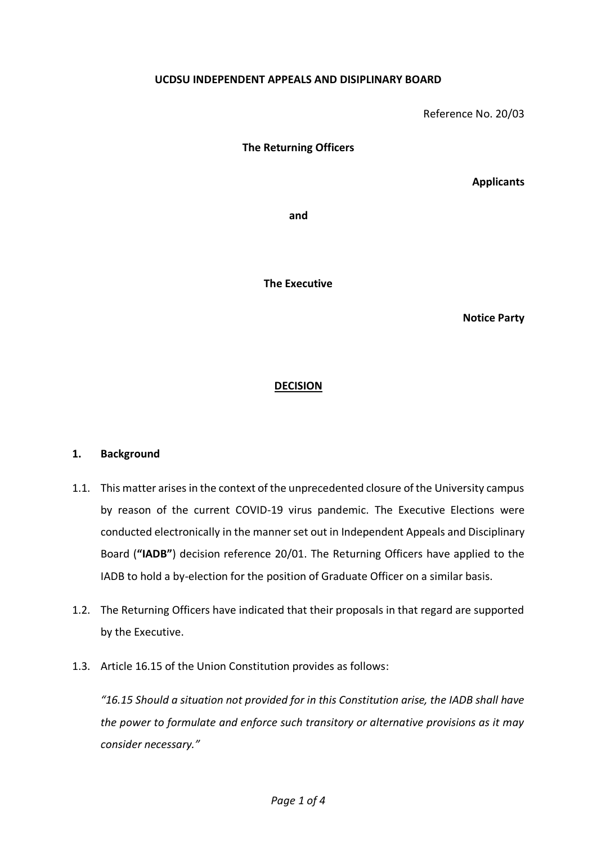## **UCDSU INDEPENDENT APPEALS AND DISIPLINARY BOARD**

Reference No. 20/03

**The Returning Officers**

**Applicants**

**and**

**The Executive**

**Notice Party**

## **DECISION**

## **1. Background**

- 1.1. This matter arises in the context of the unprecedented closure of the University campus by reason of the current COVID-19 virus pandemic. The Executive Elections were conducted electronically in the manner set out in Independent Appeals and Disciplinary Board (**"IADB"**) decision reference 20/01. The Returning Officers have applied to the IADB to hold a by-election for the position of Graduate Officer on a similar basis.
- 1.2. The Returning Officers have indicated that their proposals in that regard are supported by the Executive.
- 1.3. Article 16.15 of the Union Constitution provides as follows:

*"16.15 Should a situation not provided for in this Constitution arise, the IADB shall have the power to formulate and enforce such transitory or alternative provisions as it may consider necessary."*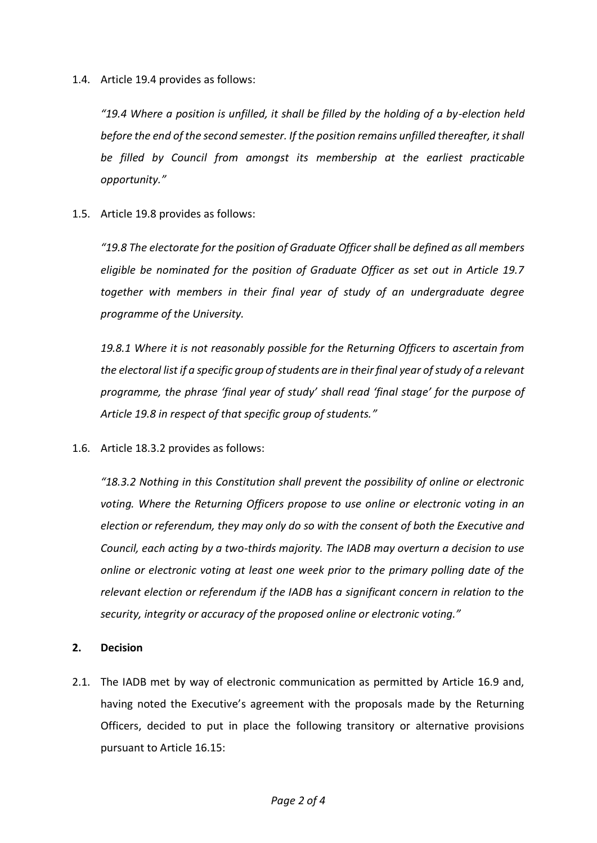1.4. Article 19.4 provides as follows:

*"19.4 Where a position is unfilled, it shall be filled by the holding of a by-election held before the end of the second semester. If the position remains unfilled thereafter, it shall be filled by Council from amongst its membership at the earliest practicable opportunity."*

1.5. Article 19.8 provides as follows:

*"19.8 The electorate for the position of Graduate Officer shall be defined as all members eligible be nominated for the position of Graduate Officer as set out in Article 19.7 together with members in their final year of study of an undergraduate degree programme of the University.* 

*19.8.1 Where it is not reasonably possible for the Returning Officers to ascertain from the electoral list if a specific group of students are in their final year of study of a relevant programme, the phrase 'final year of study' shall read 'final stage' for the purpose of Article 19.8 in respect of that specific group of students."*

1.6. Article 18.3.2 provides as follows:

*"18.3.2 Nothing in this Constitution shall prevent the possibility of online or electronic voting. Where the Returning Officers propose to use online or electronic voting in an election or referendum, they may only do so with the consent of both the Executive and Council, each acting by a two-thirds majority. The IADB may overturn a decision to use online or electronic voting at least one week prior to the primary polling date of the relevant election or referendum if the IADB has a significant concern in relation to the security, integrity or accuracy of the proposed online or electronic voting."*

## **2. Decision**

2.1. The IADB met by way of electronic communication as permitted by Article 16.9 and, having noted the Executive's agreement with the proposals made by the Returning Officers, decided to put in place the following transitory or alternative provisions pursuant to Article 16.15: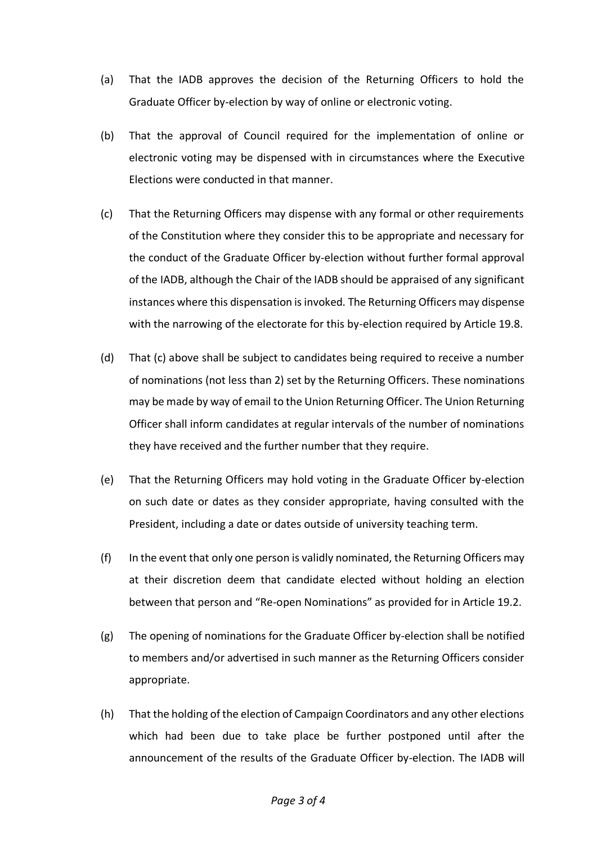- (a) That the IADB approves the decision of the Returning Officers to hold the Graduate Officer by-election by way of online or electronic voting.
- (b) That the approval of Council required for the implementation of online or electronic voting may be dispensed with in circumstances where the Executive Elections were conducted in that manner.
- (c) That the Returning Officers may dispense with any formal or other requirements of the Constitution where they consider this to be appropriate and necessary for the conduct of the Graduate Officer by-election without further formal approval of the IADB, although the Chair of the IADB should be appraised of any significant instances where this dispensation is invoked. The Returning Officers may dispense with the narrowing of the electorate for this by-election required by Article 19.8.
- (d) That (c) above shall be subject to candidates being required to receive a number of nominations (not less than 2) set by the Returning Officers. These nominations may be made by way of email to the Union Returning Officer. The Union Returning Officer shall inform candidates at regular intervals of the number of nominations they have received and the further number that they require.
- (e) That the Returning Officers may hold voting in the Graduate Officer by-election on such date or dates as they consider appropriate, having consulted with the President, including a date or dates outside of university teaching term.
- (f) In the event that only one person is validly nominated, the Returning Officers may at their discretion deem that candidate elected without holding an election between that person and "Re-open Nominations" as provided for in Article 19.2.
- (g) The opening of nominations for the Graduate Officer by-election shall be notified to members and/or advertised in such manner as the Returning Officers consider appropriate.
- (h) That the holding of the election of Campaign Coordinators and any other elections which had been due to take place be further postponed until after the announcement of the results of the Graduate Officer by-election. The IADB will